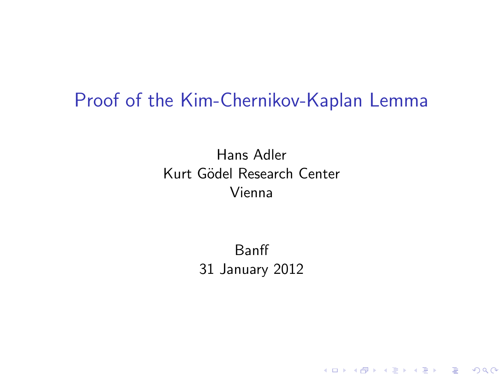### Proof of the Kim-Chernikov-Kaplan Lemma

Hans Adler Kurt Gödel Research Center Vienna

> Banff 31 January 2012

> > K ロ X イロ X K ミ X K ミ X ミ → S V C Y C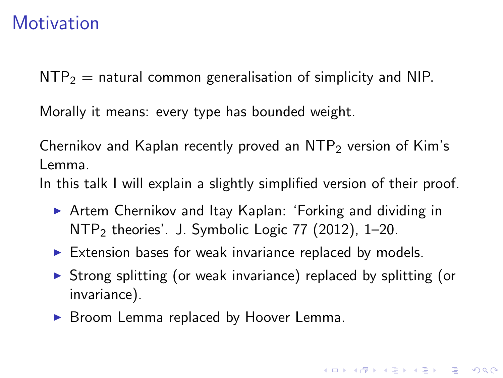## **Motivation**

 $NTP<sub>2</sub>$  = natural common generalisation of simplicity and NIP.

Morally it means: every type has bounded weight.

Chernikov and Kaplan recently proved an  $NTP<sub>2</sub>$  version of Kim's Lemma.

In this talk I will explain a slightly simplified version of their proof.

- ▶ Artem Chernikov and Itay Kaplan: 'Forking and dividing in  $NTP<sub>2</sub>$  theories'. J. Symbolic Logic 77 (2012), 1–20.
- $\triangleright$  Extension bases for weak invariance replaced by models.
- $\triangleright$  Strong splitting (or weak invariance) replaced by splitting (or invariance).

KID KA KERKER KID KO

▶ Broom Lemma replaced by Hoover Lemma.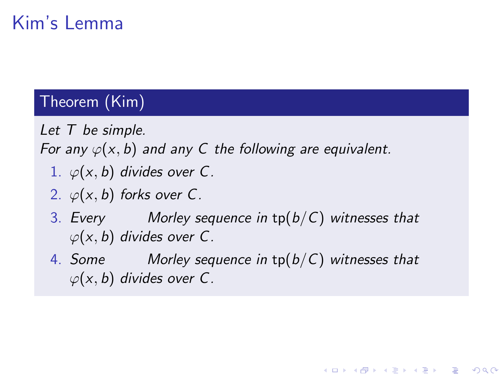# Kim's Lemma

### Theorem (Kim)

Let T be simple.

For any  $\varphi(x, b)$  and any C the following are equivalent.

- 1.  $\varphi(x, b)$  divides over C.
- 2.  $\varphi(x, b)$  forks over C.
- 3. Every  $\hskip1cm$  Morley sequence in  $\text{tp}(b/\mathsf{C})$  witnesses that  $\varphi(x, b)$  divides over C.
- 4. Some Morley sequence in  $\operatorname{\sf tp}(b/C)$  witnesses that  $\varphi(x, b)$  divides over C.

**KORK ERKER ADE YOUR**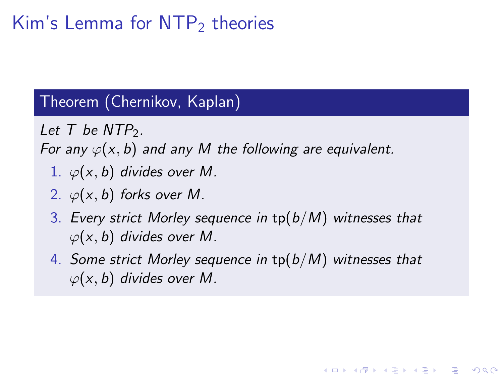# Kim's Lemma for  $NTP<sub>2</sub>$  theories

### Theorem (Chernikov, Kaplan)

Let  $T$  be NTP<sub>2</sub>.

For any  $\varphi(x, b)$  and any M the following are equivalent.

- 1.  $\varphi(x, b)$  divides over M.
- 2.  $\varphi(x, b)$  forks over M.
- 3. Every strict Morley sequence in  $tp(b/M)$  witnesses that  $\varphi(x, b)$  divides over M.
- 4. Some strict Morley sequence in  $tp(b/M)$  witnesses that  $\varphi(x, b)$  divides over M.

**KORK STRAIN A BAR SHOP**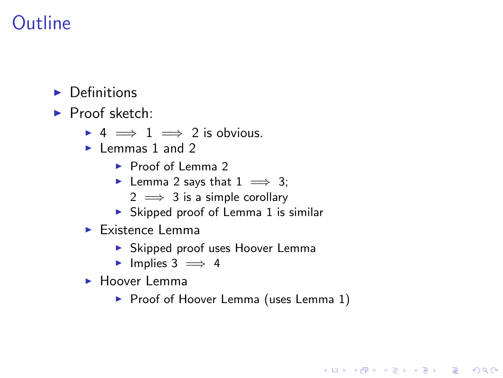# **Outline**

- $\blacktriangleright$  Definitions
- $\blacktriangleright$  Proof sketch:
	- $\blacktriangleright$  4  $\implies$  1  $\implies$  2 is obvious.
	- $\blacktriangleright$  Lemmas 1 and 2
		- $\blacktriangleright$  Proof of Lemma 2
		- ► Lemma 2 says that  $1 \implies 3$ ;
			- $2 \implies 3$  is a simple corollary
		- $\triangleright$  Skipped proof of Lemma 1 is similar
	- $\blacktriangleright$  Existence Lemma
		- $\triangleright$  Skipped proof uses Hoover Lemma
		- $\blacktriangleright$  Implies 3  $\implies$  4
	- $\blacktriangleright$  Hoover Lemma
		- $\blacktriangleright$  Proof of Hoover Lemma (uses Lemma 1)

**KORK STRAIN A BAR SHOP**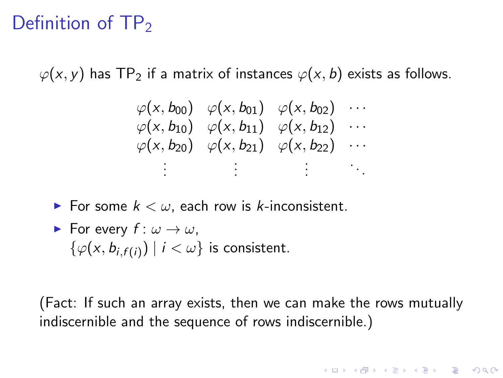## Definition of  $TP<sub>2</sub>$

 $\varphi(x, y)$  has TP<sub>2</sub> if a matrix of instances  $\varphi(x, b)$  exists as follows.

$$
\varphi(x, b_{00}) \varphi(x, b_{01}) \varphi(x, b_{02}) \cdots \n\varphi(x, b_{10}) \varphi(x, b_{11}) \varphi(x, b_{12}) \cdots \n\varphi(x, b_{20}) \varphi(x, b_{21}) \varphi(x, b_{22}) \cdots \n\vdots \qquad \vdots \qquad \vdots
$$

For some  $k < \omega$ , each row is k-inconsistent.

\n- For every 
$$
f: \omega \to \omega
$$
,
\n- $\{\varphi(x, b_{i,f(i)}) \mid i < \omega\}$  is consistent.
\n

(Fact: If such an array exists, then we can make the rows mutually indiscernible and the sequence of rows indiscernible.)

**K ロ ▶ K @ ▶ K 할 X X 할 X → 할 X → 9 Q Q ^**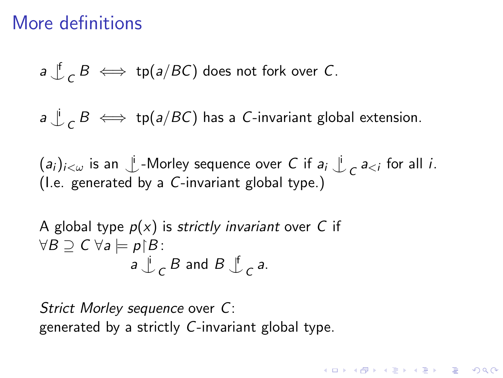### More definitions

 $a \nightharpoondown$  $\epsilon_{\mathcal{C}}$  B  $\iff$  tp(*a*/BC) does not fork over C.

a  $\bigcup$  $\sigma_B \leftrightarrow \text{tp}(a/BC)$  has a C-invariant global extension.

 $(a_i)_{i < \omega}$  is an  $\bigcup_{i=1}^{\infty}$ -Morley sequence over C if  $a_i \bigcup_{i=1}^{\infty}$  $C$   $a < i$  for all  $i$ . (I.e. generated by a C-invariant global type.)

**KORKAR KERKER E VOOR** 

A global type 
$$
p(x)
$$
 is strictly invariant over C if  
\n $\forall B \supseteq C \ \forall a \models p \upharpoonright B:$   
\n $a \downarrow c$  B and B  $\downarrow c$  a.

Strict Morley sequence over C: generated by a strictly C-invariant global type.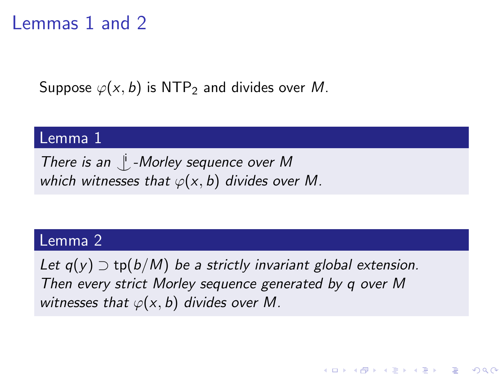## Lemmas 1 and 2

Suppose  $\varphi(x, b)$  is NTP<sub>2</sub> and divides over M.

#### Lemma 1

There is an  $\bigcup$  -Morley sequence over M which witnesses that  $\varphi(x, b)$  divides over M.

#### Lemma 2

Let  $q(y) \supset \text{tp}(b/M)$  be a strictly invariant global extension. Then every strict Morley sequence generated by q over M witnesses that  $\varphi(x, b)$  divides over M.

**KORK ERKER ADE YOUR**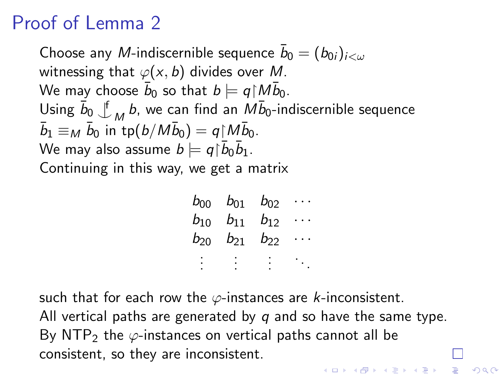# Proof of Lemma 2

Choose any  $M$ -indiscernible sequence  $\bar{b}_0 = (b_{0i})_{i<\omega}$ witnessing that  $\varphi(x, b)$  divides over M. We may choose  $\bar{b}_0$  so that  $b \models q {\restriction} M \bar{b}_0.$ Using  $\bar{b}_0$   $\uparrow$  $M_b$  we can find an  $M\bar{b}_0$ -indiscernible sequence  $\bar{b}_1 \equiv_M \bar{b}_0$  in tp $(b/M\bar{b}_0) = q{\restriction} M\bar{b}_0.$ We may also assume  $b \models q {\restriction} \bar{b}_0 \bar{b}_1.$ Continuing in this way, we get a matrix

|          | $b_{00}$ $b_{01}$ | $b_{02}$ |  |
|----------|-------------------|----------|--|
| $b_{10}$ | $b_{11}$          | $b_{12}$ |  |
| $b_{20}$ | $b_{21}$          | $b_{22}$ |  |
|          |                   |          |  |

such that for each row the  $\varphi$ -instances are k-inconsistent. All vertical paths are generated by  $q$  and so have the same type. By NTP<sub>2</sub> the  $\varphi$ -instances on vertical paths cannot all be consistent, so they are inconsistent.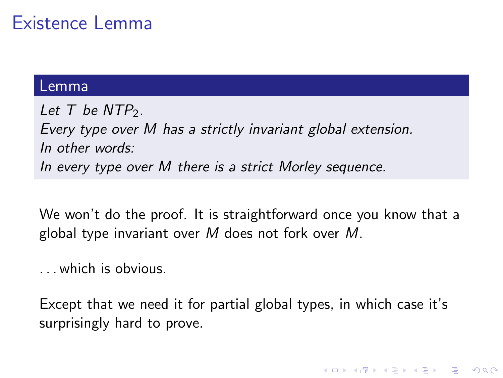## Existence Lemma

#### Lemma

Let  $T$  be NTP<sub>2</sub>. Every type over M has a strictly invariant global extension. In other words: In every type over M there is a strict Morley sequence.

We won't do the proof. It is straightforward once you know that a global type invariant over  $M$  does not fork over  $M$ .

. . . which is obvious.

Except that we need it for partial global types, in which case it's surprisingly hard to prove.

**KORK ERKER ADE YOUR**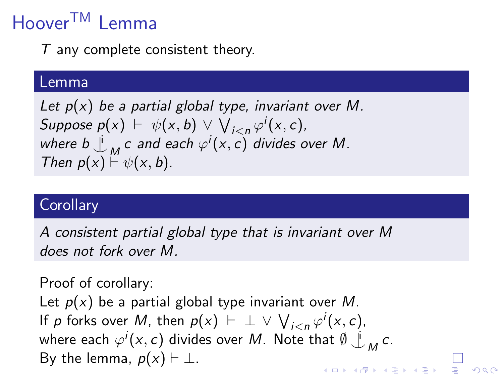# Hoover<sup>TM</sup> Lemma

T any complete consistent theory.

#### Lemma

Let 
$$
p(x)
$$
 be a partial global type, invariant over M.  
Suppose  $p(x) \vdash \psi(x, b) \lor \bigvee_{i < n} \varphi^i(x, c)$ ,  
where  $b \not\bigcup_M c$  and each  $\varphi^i(x, c)$  divides over M.  
Then  $p(x) \vdash \psi(x, b)$ .

### **Corollary**

A consistent partial global type that is invariant over M does not fork over M.

Proof of corollary: Let  $p(x)$  be a partial global type invariant over M. If p forks over M, then  $p(x) \vdash \bot \lor \bigvee_{i < n} \varphi^{i}(x, c)$ , where each  $\varphi^i(x,c)$  divides over  $M$ . Note that  $\emptyset \downarrow$  $M^{\mathcal{C}}$ . By the lemma,  $p(x) \vdash \bot$ .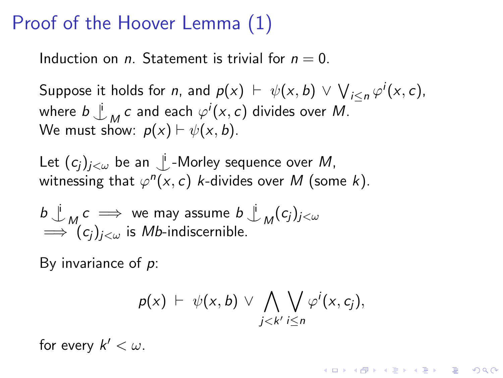## Proof of the Hoover Lemma (1)

Induction on n. Statement is trivial for  $n = 0$ .

Suppose it holds for *n*, and  $p(x)$   $\vdash \psi(x, b) \vee \bigvee_{i \leq n} \varphi^i(x, c)$ , where  $b \mathrel{\mathop{\downarrow}\limits^{\scriptscriptstyle \mathrm{!`}}}$ M c and each  $\varphi^i(x, c)$  divides over M. We must show:  $p(x) \vdash \psi(x, b)$ .

Let  $(c_j)_{j<\omega}$  be an  $\bigcup_{\omega}$ -Morley sequence over *M*, witnessing that  $\varphi^{n}(x, c)$  *k*-divides over M (some *k*).

$$
b \stackrel{\mathsf{j}}{\Longrightarrow} \mathsf{M}^c \implies \text{we may assume } b \stackrel{\mathsf{j}}{\Longrightarrow} \mathsf{M}(c_j)_{j < \omega}
$$
\n
$$
\implies (c_j)_{j < \omega} \text{ is } \mathsf{M}b\text{-indiscernible.}
$$

By invariance of p:

$$
p(x) \ \vdash \ \psi(x, b) \ \lor \ \bigwedge_{j < k'} \bigvee_{i \leq n} \varphi^i(x, c_j),
$$

**KORKAR KERKER E VOOR** 

for every  $k' < \omega$ .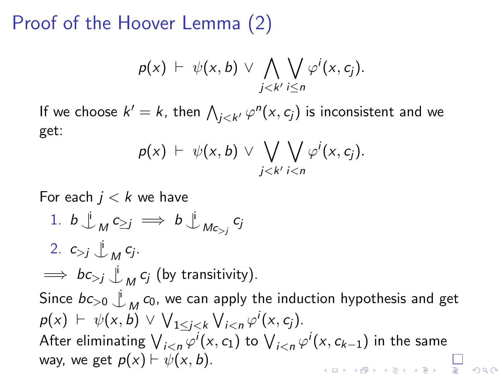## Proof of the Hoover Lemma (2)

$$
p(x) \vdash \psi(x, b) \lor \bigwedge_{j < k'} \bigvee_{i \leq n} \varphi^i(x, c_j).
$$

If we choose  $k'=k$ , then  $\bigwedge_{j < k'} \varphi^n( x, \mathsf{c}_j )$  is inconsistent and we get:

$$
p(x) \vdash \psi(x, b) \lor \bigvee_{j < k' \text{ is } n} \varphi^i(x, c_j).
$$

For each  $j < k$  we have 1.  $b \downarrow$  $\mu$   $c_{\geq j} \implies b \downarrow$  $_{Mc_{>j}}$   $c_j$ 2.  $c_{>j} \downarrow$  $M^{C_j}$ .  $\implies bc_{>j} \downarrow$  $_{M}$   $c_{j}$  (by transitivity). Since  $bc_{>0} \downarrow$  $_{M}$   $c_{0}$ , we can apply the induction hypothesis and get  $p(x) \vdash \psi(x, b) \lor \bigvee_{1 \leq j < k} \bigvee_{i < n} \varphi^i(x, c_j).$ After eliminating  $\bigvee_{i < n} \varphi^i(x, c_1)$  to  $\bigvee_{i < n} \varphi^i(x, c_{k-1})$  in the same way, we get  $p(x) \vdash \psi(x, b)$ .